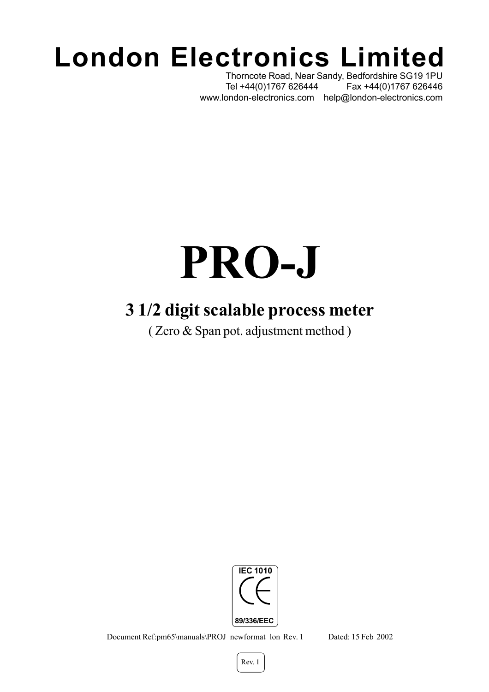## **London Electronics Limited**

Thorncote Road, Near Sandy, Bedfordshire SG19 1PU Tel +44(0)1767 626444 Fax +44(0)1767 626446 www.london-electronics.com help@london-electronics.com

# **PRO-J**

#### **3 1/2 digit scalable process meter**

( Zero & Span pot. adjustment method )



Document Ref:pm65\manuals\PROJ\_newformat\_lon Rev. 1 Dated: 15 Feb 2002

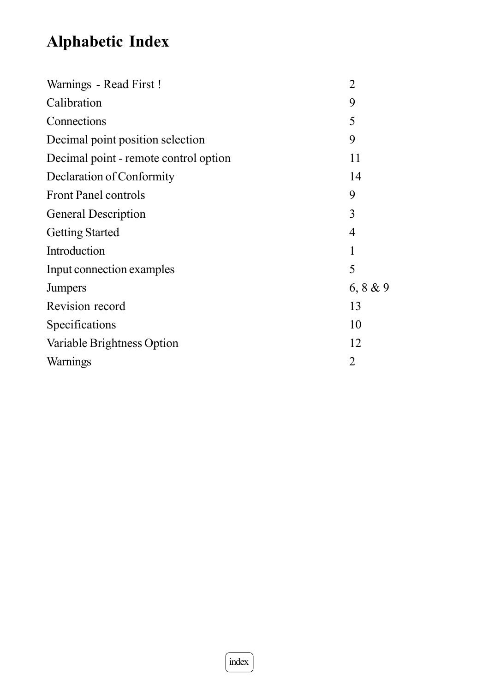#### **Alphabetic Index**

| Warnings - Read First!                | $\overline{2}$ |
|---------------------------------------|----------------|
| Calibration                           | 9              |
| Connections                           | 5              |
| Decimal point position selection      | 9              |
| Decimal point - remote control option | 11             |
| Declaration of Conformity             | 14             |
| <b>Front Panel controls</b>           | 9              |
| <b>General Description</b>            | 3              |
| <b>Getting Started</b>                | 4              |
| Introduction                          | 1              |
| Input connection examples             | 5              |
| <b>Jumpers</b>                        | 6, 8 & 9       |
| Revision record                       | 13             |
| Specifications                        | 10             |
| Variable Brightness Option            | 12             |
| <b>Warnings</b>                       | $\overline{2}$ |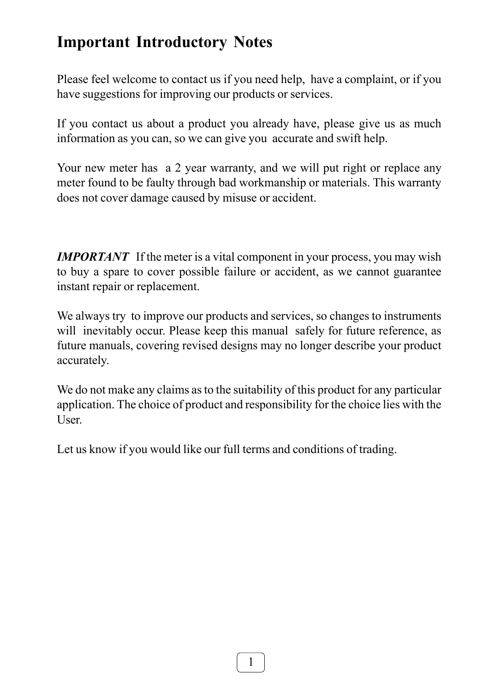#### **Important Introductory Notes**

Please feel welcome to contact us if you need help, have a complaint, or if you have suggestions for improving our products or services.

If you contact us about a product you already have, please give us as much information as you can, so we can give you accurate and swift help.

Your new meter has a 2 year warranty, and we will put right or replace any meter found to be faulty through bad workmanship or materials. This warranty does not cover damage caused by misuse or accident.

*IMPORTANT* If the meter is a vital component in your process, you may wish to buy a spare to cover possible failure or accident, as we cannot guarantee instant repair or replacement.

We always try to improve our products and services, so changes to instruments will inevitably occur. Please keep this manual safely for future reference, as future manuals, covering revised designs may no longer describe your product accurately.

We do not make any claims as to the suitability of this product for any particular application. The choice of product and responsibility for the choice lies with the User.

Let us know if you would like our full terms and conditions of trading.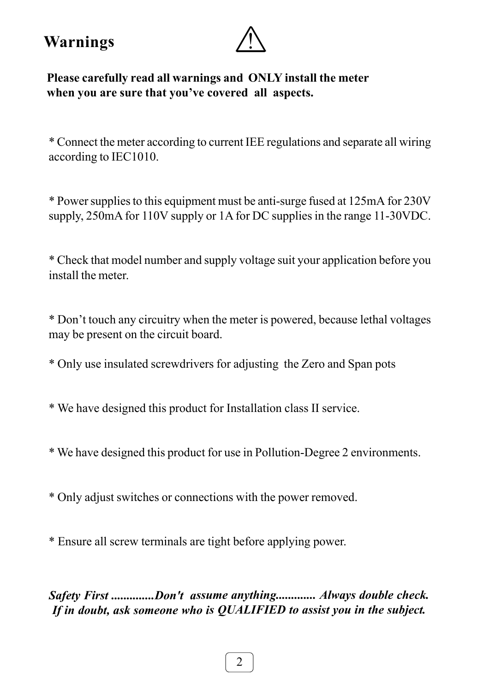**Warnings**



**Please carefully read all warnings and ONLY install the meter when you are sure that you've covered all aspects.**

\* Connect the meter according to current IEE regulations and separate all wiring according to IEC1010.

\* Power supplies to this equipment must be anti-surge fused at 125mA for 230V supply, 250mA for 110V supply or 1A for DC supplies in the range 11-30VDC.

\* Check that model number and supply voltage suit your application before you install the meter.

\* Don't touch any circuitry when the meter is powered, because lethal voltages may be present on the circuit board.

\* Only use insulated screwdrivers for adjusting the Zero and Span pots

\* We have designed this product for Installation class II service.

\* We have designed this product for use in Pollution-Degree 2 environments.

\* Only adjust switches or connections with the power removed.

\* Ensure all screw terminals are tight before applying power.

*Safety First ..............Don't assume anything............. Always double check. If in doubt, ask someone who is QUALIFIED to assist you in the subject.*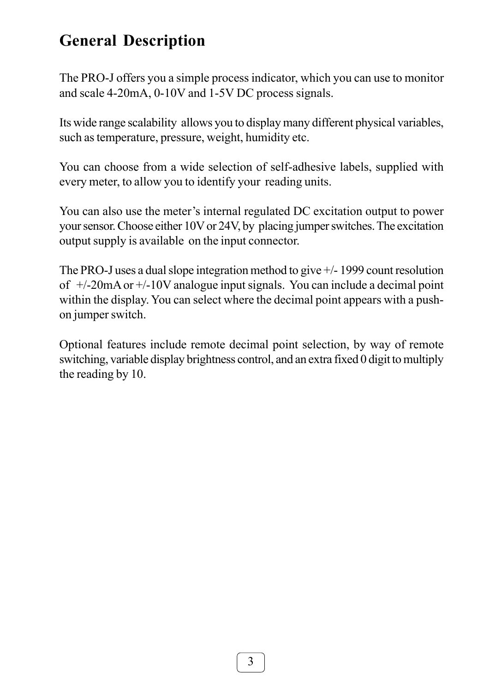#### **General Description**

The PRO-J offers you a simple process indicator, which you can use to monitor and scale 4-20mA, 0-10V and 1-5V DC process signals.

Its wide range scalability allows you to display many different physical variables, such as temperature, pressure, weight, humidity etc.

You can choose from a wide selection of self-adhesive labels, supplied with every meter, to allow you to identify your reading units.

You can also use the meter's internal regulated DC excitation output to power your sensor. Choose either 10V or 24V, by placing jumper switches. The excitation output supply is available on the input connector.

The PRO-J uses a dual slope integration method to give +/- 1999 count resolution of  $+/-20$ mA or  $+/-10V$  analogue input signals. You can include a decimal point within the display. You can select where the decimal point appears with a pushon jumper switch.

Optional features include remote decimal point selection, by way of remote switching, variable display brightness control, and an extra fixed 0 digit to multiply the reading by 10.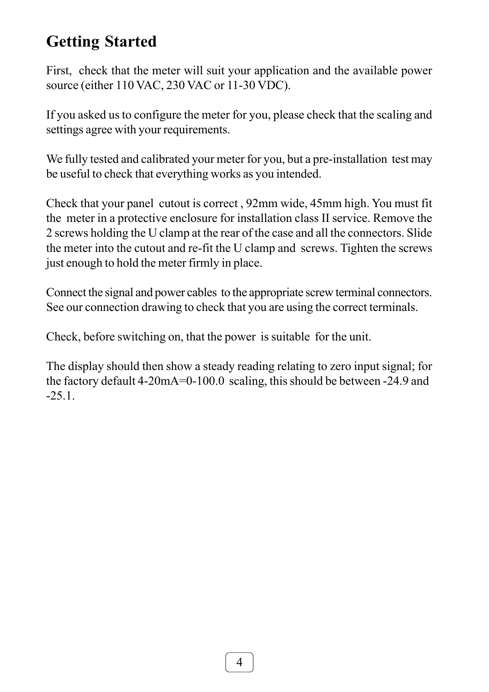#### **Getting Started**

First, check that the meter will suit your application and the available power source (either 110 VAC, 230 VAC or 11-30 VDC).

If you asked us to configure the meter for you, please check that the scaling and settings agree with your requirements.

We fully tested and calibrated your meter for you, but a pre-installation test may be useful to check that everything works as you intended.

Check that your panel cutout is correct , 92mm wide, 45mm high. You must fit the meter in a protective enclosure for installation class II service. Remove the 2 screws holding the U clamp at the rear of the case and all the connectors. Slide the meter into the cutout and re-fit the U clamp and screws. Tighten the screws just enough to hold the meter firmly in place.

Connect the signal and power cables to the appropriate screw terminal connectors. See our connection drawing to check that you are using the correct terminals.

Check, before switching on, that the power is suitable for the unit.

The display should then show a steady reading relating to zero input signal; for the factory default 4-20mA=0-100.0 scaling, this should be between -24.9 and -25.1.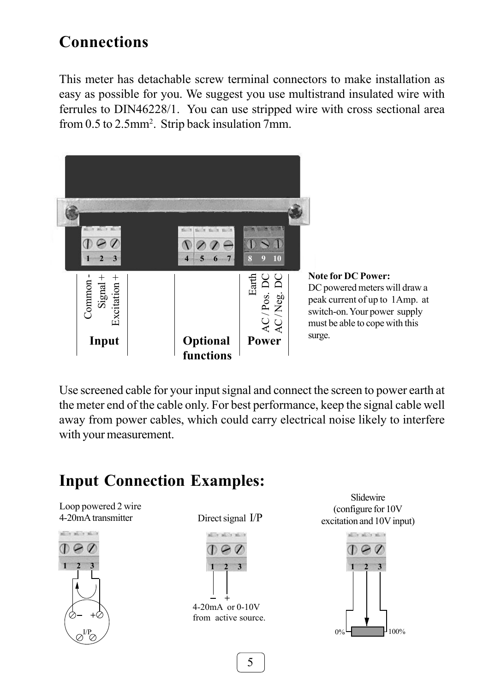#### **Connections**

This meter has detachable screw terminal connectors to make installation as easy as possible for you. We suggest you use multistrand insulated wire with ferrules to DIN46228/1. You can use stripped wire with cross sectional area from 0.5 to 2.5mm<sup>2</sup>. Strip back insulation 7mm.



Use screened cable for your input signal and connect the screen to power earth at the meter end of the cable only. For best performance, keep the signal cable well away from power cables, which could carry electrical noise likely to interfere with your measurement.

Loop powered 2 wire 4-20mA transmitter



Direct signal I/P



Slidewire (configure for 10V excitation and 10V input)

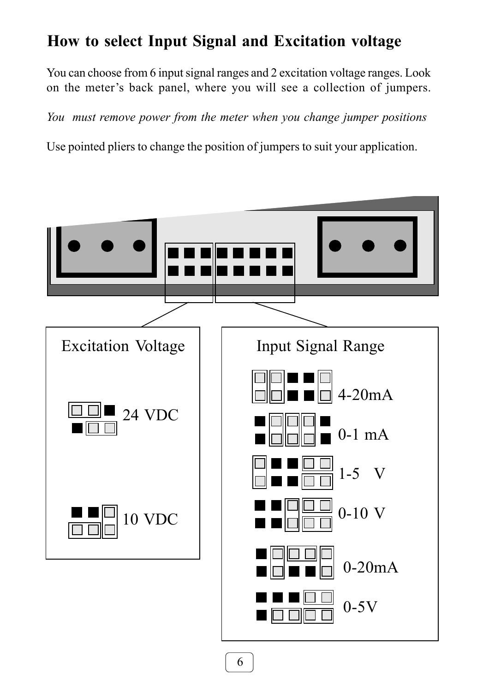#### **How to select Input Signal and Excitation voltage**

You can choose from 6 input signal ranges and 2 excitation voltage ranges. Look on the meter's back panel, where you will see a collection of jumpers.

*You must remove power from the meter when you change jumper positions*

Use pointed pliers to change the position of jumpers to suit your application.

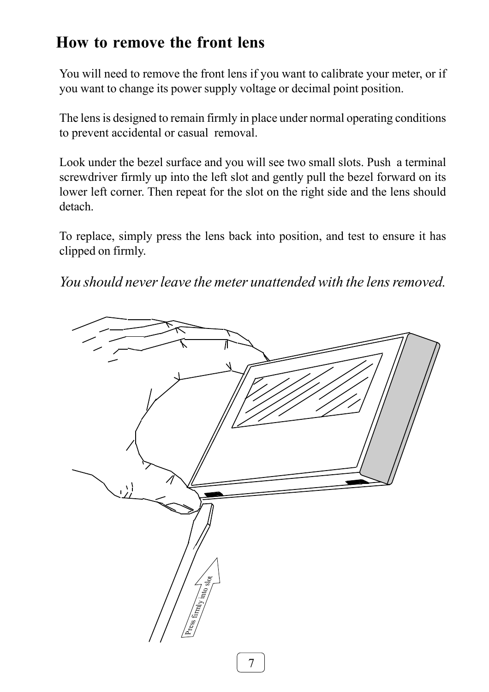#### **How to remove the front lens**

You will need to remove the front lens if you want to calibrate your meter, or if you want to change its power supply voltage or decimal point position.

The lens is designed to remain firmly in place under normal operating conditions to prevent accidental or casual removal.

Look under the bezel surface and you will see two small slots. Push a terminal screwdriver firmly up into the left slot and gently pull the bezel forward on its lower left corner. Then repeat for the slot on the right side and the lens should detach.

To replace, simply press the lens back into position, and test to ensure it has clipped on firmly.

*You should never leave the meter unattended with the lens removed.*

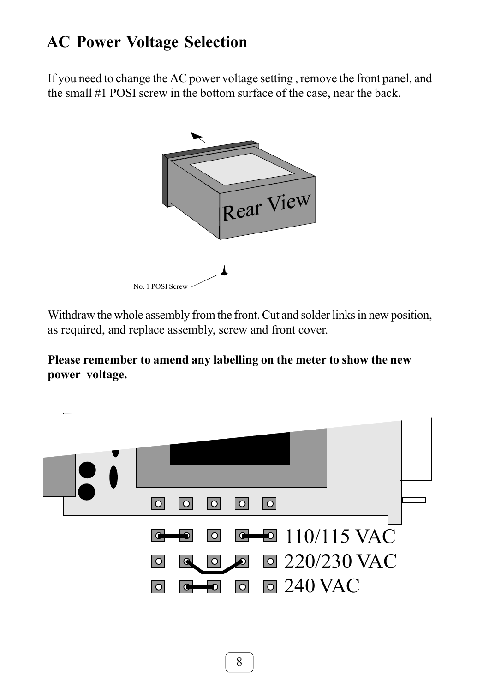#### **AC Power Voltage Selection**

If you need to change the AC power voltage setting , remove the front panel, and the small #1 POSI screw in the bottom surface of the case, near the back.



Withdraw the whole assembly from the front. Cut and solder links in new position, as required, and replace assembly, screw and front cover.

**Please remember to amend any labelling on the meter to show the new power voltage.**

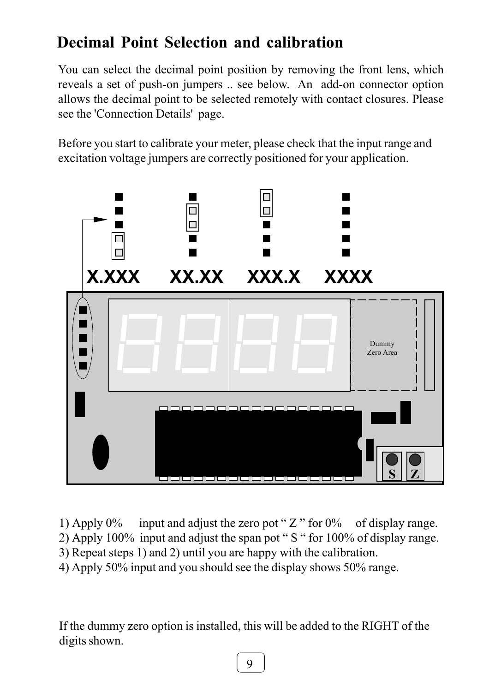#### **Decimal Point Selection and calibration**

You can select the decimal point position by removing the front lens, which reveals a set of push-on jumpers .. see below. An add-on connector option allows the decimal point to be selected remotely with contact closures. Please see the 'Connection Details' page.

Before you start to calibrate your meter, please check that the input range and excitation voltage jumpers are correctly positioned for your application.



1) Apply  $0\%$  input and adjust the zero pot " Z " for  $0\%$  of display range.

2) Apply 100% input and adjust the span pot " S " for 100% of display range.

3) Repeat steps 1) and 2) until you are happy with the calibration.

4) Apply 50% input and you should see the display shows 50% range.

If the dummy zero option is installed, this will be added to the RIGHT of the digits shown.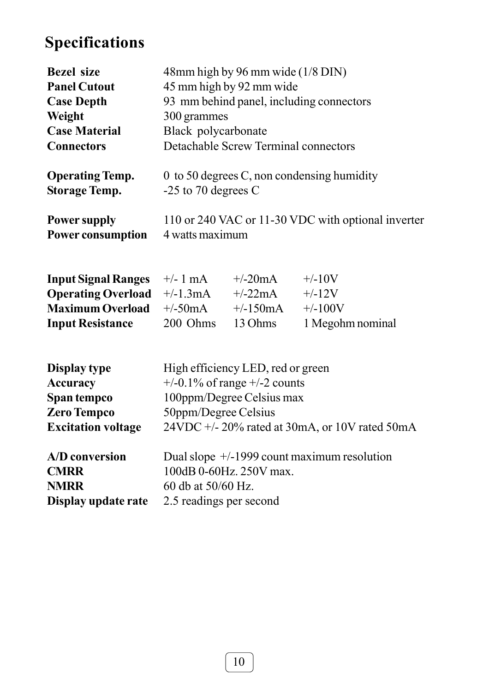#### **Specifications**

| <b>Bezel</b> size          | 48mm high by 96 mm wide (1/8 DIN)                  |            |                  |
|----------------------------|----------------------------------------------------|------------|------------------|
| <b>Panel Cutout</b>        | 45 mm high by 92 mm wide                           |            |                  |
| <b>Case Depth</b>          | 93 mm behind panel, including connectors           |            |                  |
| Weight                     | 300 grammes                                        |            |                  |
| <b>Case Material</b>       | Black polycarbonate                                |            |                  |
| <b>Connectors</b>          | Detachable Screw Terminal connectors               |            |                  |
| <b>Operating Temp.</b>     | $\theta$ to 50 degrees C, non condensing humidity  |            |                  |
| <b>Storage Temp.</b>       | $-25$ to 70 degrees C                              |            |                  |
| <b>Power supply</b>        | 110 or 240 VAC or 11-30 VDC with optional inverter |            |                  |
| <b>Power consumption</b>   | 4 watts maximum                                    |            |                  |
| <b>Input Signal Ranges</b> | $+/- 1$ mA                                         | $+/-20mA$  | $+/-10V$         |
| <b>Operating Overload</b>  | $+/-1.3mA$                                         | $+/-22mA$  | $+/-12V$         |
| <b>Maximum Overload</b>    | $+/-50mA$                                          | $+/-150mA$ | $+/-100V$        |
| <b>Input Resistance</b>    | 200 Ohms                                           | 13 Ohms    | 1 Megohm nominal |

| Display type              | High efficiency LED, red or green              |
|---------------------------|------------------------------------------------|
| <b>Accuracy</b>           | $+/-0.1\%$ of range $+/-2$ counts              |
| Span tempco               | 100ppm/Degree Celsius max                      |
| <b>Zero Tempco</b>        | 50ppm/Degree Celsius                           |
| <b>Excitation voltage</b> | 24VDC +/- 20% rated at 30mA, or 10V rated 50mA |
| A/D conversion            | Dual slope $+/-1999$ count maximum resolution  |
| <b>CMRR</b>               | 100dB 0-60Hz. 250V max.                        |
| <b>NMRR</b>               | 60 db at 50/60 Hz.                             |
| Display update rate       | 2.5 readings per second                        |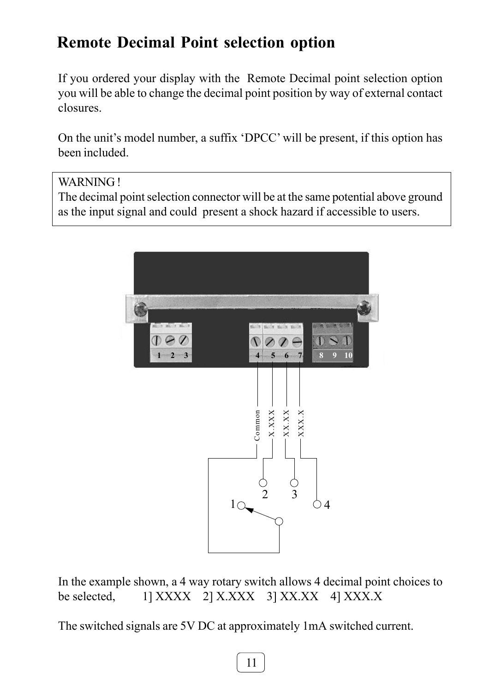#### **Remote Decimal Point selection option**

If you ordered your display with the Remote Decimal point selection option you will be able to change the decimal point position by way of external contact closures.

On the unit's model number, a suffix 'DPCC' will be present, if this option has been included.

#### WARNING !

The decimal point selection connector will be at the same potential above ground as the input signal and could present a shock hazard if accessible to users.



In the example shown, a 4 way rotary switch allows 4 decimal point choices to be selected,  $1$  XXXX 2] X.XXX 3] XX.XX 4] XXX.X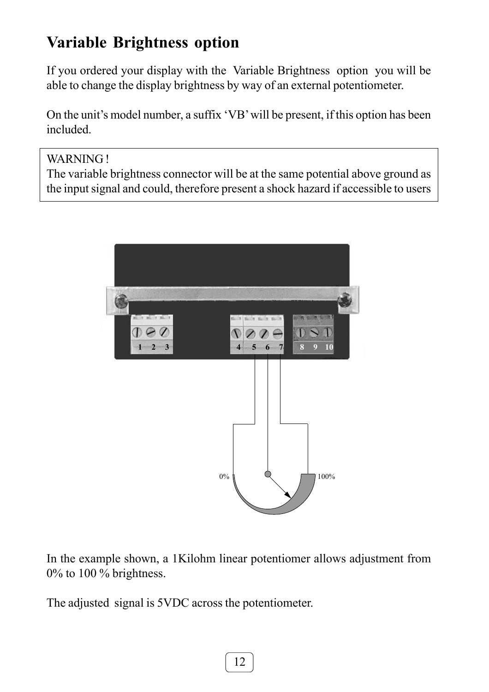#### **Variable Brightness option**

If you ordered your display with the Variable Brightness option you will be able to change the display brightness by way of an external potentiometer.

On the unit's model number, a suffix 'VB' will be present, if this option has been included.

WARNING!

The variable brightness connector will be at the same potential above ground as the input signal and could, therefore present a shock hazard if accessible to users



In the example shown, a 1Kilohm linear potentiomer allows adjustment from 0% to 100 % brightness.

The adjusted signal is 5VDC across the potentiometer.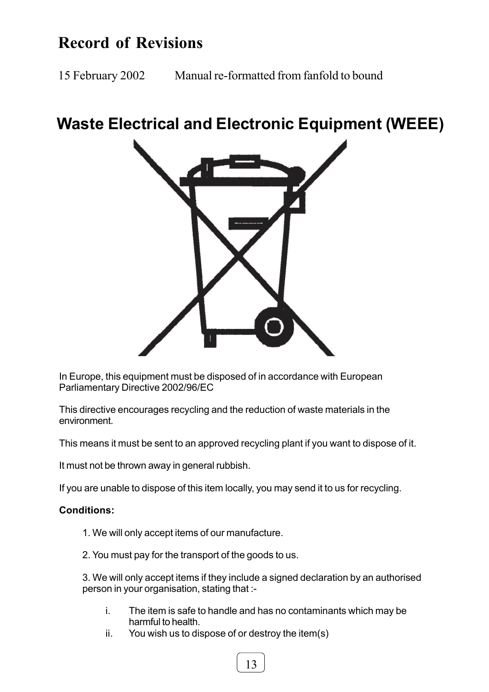#### **Record of Revisions**

15 February 2002 Manual re-formatted from fanfold to bound

#### **Waste Electrical and Electronic Equipment (WEEE)**



In Europe, this equipment must be disposed of in accordance with European Parliamentary Directive 2002/96/EC

This directive encourages recycling and the reduction of waste materials in the environment.

This means it must be sent to an approved recycling plant if you want to dispose of it.

It must not be thrown away in general rubbish.

If you are unable to dispose of this item locally, you may send it to us for recycling.

#### **Conditions:**

- 1. We will only accept items of our manufacture.
- 2. You must pay for the transport of the goods to us.

3. We will only accept items if they include a signed declaration by an authorised person in your organisation, stating that :-

- i. The item is safe to handle and has no contaminants which may be harmful to health.
- ii. You wish us to dispose of or destroy the item(s)